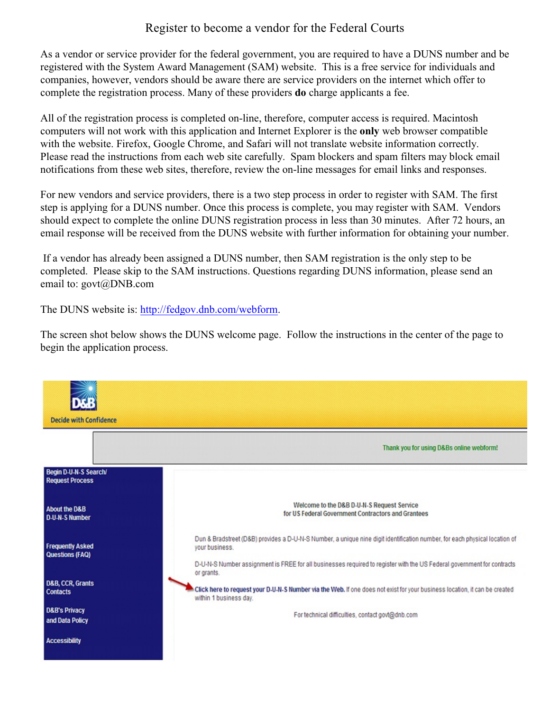### Register to become a vendor for the Federal Courts

As a vendor or service provider for the federal government, you are required to have a DUNS number and be registered with the System Award Management (SAM) website. This is a free service for individuals and companies, however, vendors should be aware there are service providers on the internet which offer to complete the registration process. Many of these providers **do** charge applicants a fee.

All of the registration process is completed on-line, therefore, computer access is required. Macintosh computers will not work with this application and Internet Explorer is the **only** web browser compatible with the website. Firefox, Google Chrome, and Safari will not translate website information correctly. Please read the instructions from each web site carefully. Spam blockers and spam filters may block email notifications from these web sites, therefore, review the on-line messages for email links and responses.

For new vendors and service providers, there is a two step process in order to register with SAM. The first step is applying for a DUNS number. Once this process is complete, you may register with SAM. Vendors should expect to complete the online DUNS registration process in less than 30 minutes. After 72 hours, an email response will be received from the DUNS website with further information for obtaining your number.

 If a vendor has already been assigned a DUNS number, then SAM registration is the only step to be completed. Please skip to the SAM instructions. Questions regarding DUNS information, please send an email to: govt@DNB.com

The DUNS website is:<http://fedgov.dnb.com/webform>.

The screen shot below shows the DUNS welcome page. Follow the instructions in the center of the page to begin the application process.

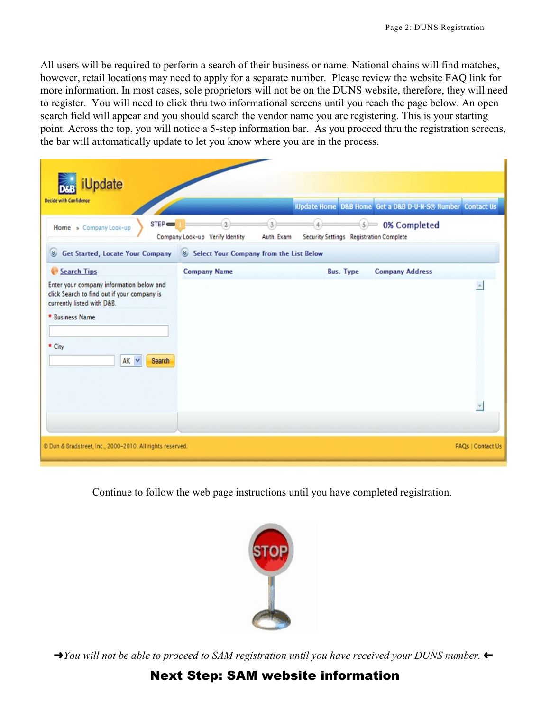All users will be required to perform a search of their business or name. National chains will find matches, however, retail locations may need to apply for a separate number. Please review the website FAQ link for more information. In most cases, sole proprietors will not be on the DUNS website, therefore, they will need to register. You will need to click thru two informational screens until you reach the page below. An open search field will appear and you should search the vendor name you are registering. This is your starting point. Across the top, you will notice a 5-step information bar. As you proceed thru the registration screens, the bar will automatically update to let you know where you are in the process.

| <b>J</b> pdate<br><b>Decide with Confidence</b>                                                                                                                                            |                                               |                                                             | iUpdate Home D&B Home Get a D&B D-U-N-S® Number Contact Us |
|--------------------------------------------------------------------------------------------------------------------------------------------------------------------------------------------|-----------------------------------------------|-------------------------------------------------------------|------------------------------------------------------------|
| STEP<br>Home » Company Look-up                                                                                                                                                             | Company Look-up Verify Identity               | 5)<br>Security Settings Registration Complete<br>Auth. Exam | 0% Completed                                               |
| <b>Get Started, Locate Your Company</b><br>է                                                                                                                                               | Select Your Company from the List Below<br>81 |                                                             |                                                            |
| Search Tips<br>Enter your company information below and<br>click Search to find out if your company is<br>currently listed with D&B.<br>* Business Name<br>* City<br>AK Y<br><b>Search</b> | <b>Company Name</b>                           | <b>Bus. Type</b>                                            | <b>Company Address</b>                                     |
| C Dun & Bradstreet, Inc., 2000-2010. All rights reserved.                                                                                                                                  |                                               |                                                             | <b>FAQs   Contact Us</b>                                   |

Continue to follow the web page instructions until you have completed registration.



 $\rightarrow$ *You will not be able to proceed to SAM registration until you have received your DUNS number.* 

# Next Step: SAM website information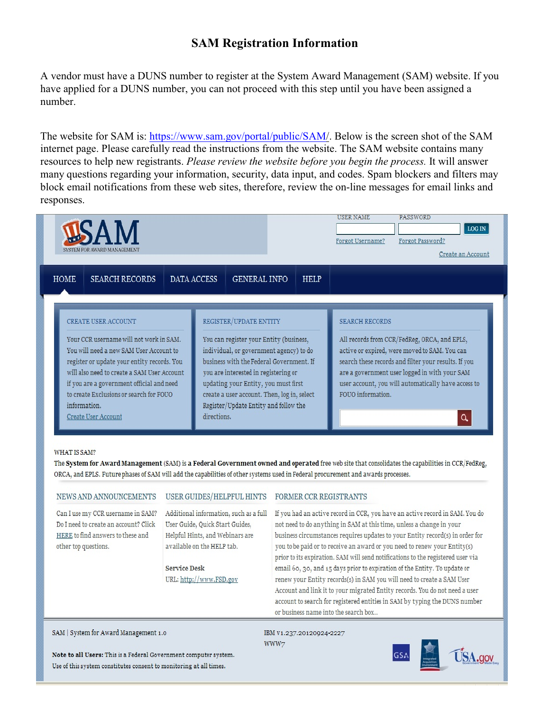## **SAM Registration Information**

A vendor must have a DUNS number to register at the System Award Management (SAM) website. If you have applied for a DUNS number, you can not proceed with this step until you have been assigned a number.

The website for SAM is: https://www.sam.gov/portal/public/SAM/. Below is the screen shot of the SAM internet page. Please carefully read the instructions from the website. The SAM website contains many resources to help new registrants. *Please review the website before you begin the process.* It will answer many questions regarding your information, security, data input, and codes. Spam blockers and filters may block email notifications from these web sites, therefore, review the on-line messages for email links and responses.



#### **WHAT IS SAM?**

The System for Award Management (SAM) is a Federal Government owned and operated free web site that consolidates the capabilities in CCR/FedReg, ORCA, and EPLS. Future phases of SAM will add the capabilities of other systems used in Federal procurement and awards processes.

| NEWS AND ANNOUNCEMENTS                                                                                                                  | USER GUIDES/HELPFUL HINTS                                                                                                                  | FORMER CCR REGISTRANTS                                                                                                                                                                                                                                                                                                                                                                                |
|-----------------------------------------------------------------------------------------------------------------------------------------|--------------------------------------------------------------------------------------------------------------------------------------------|-------------------------------------------------------------------------------------------------------------------------------------------------------------------------------------------------------------------------------------------------------------------------------------------------------------------------------------------------------------------------------------------------------|
| Can I use my CCR username in SAM?<br>Do I need to create an account? Click<br>HERE to find answers to these and<br>other top questions. | Additional information, such as a full<br>User Guide, Quick Start Guides,<br>Helpful Hints, and Webinars are<br>available on the HELP tab. | If you had an active record in CCR, you have an active record in SAM. You do<br>not need to do anything in SAM at this time, unless a change in your<br>business circumstances requires updates to your Entity record(s) in order for<br>you to be paid or to receive an award or you need to renew your Entity(s)<br>prior to its expiration. SAM will send notifications to the registered user via |
|                                                                                                                                         | <b>Service Desk</b><br>URL: http://www.FSD.gov                                                                                             | email 60, 30, and 15 days prior to expiration of the Entity. To update or<br>renew your Entity records(s) in SAM you will need to create a SAM User<br>Account and link it to your migrated Entity records. You do not need a user<br>account to search for registered entities in SAM by typing the DUNS number<br>or business name into the search box                                              |

#### SAM | System for Award Management 1.0

IBM V1.237.20120924-2227 WWW7



Note to all Users: This is a Federal Government computer system. Use of this system constitutes consent to monitoring at all times.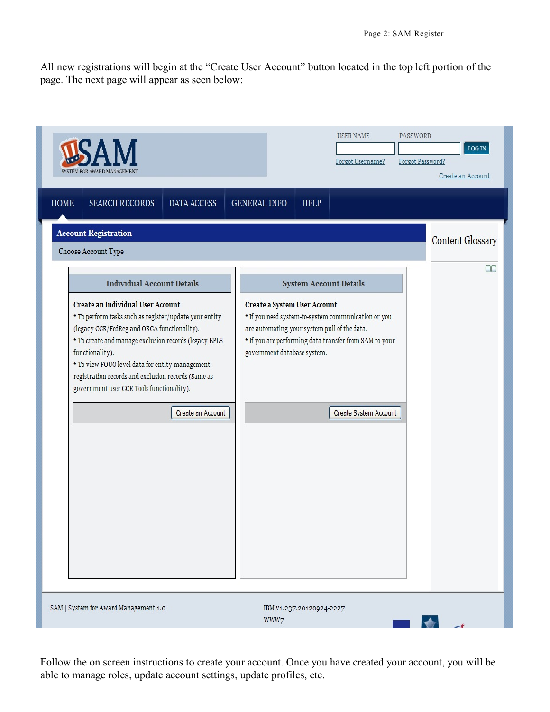All new registrations will begin at the "Create User Account" button located in the top left portion of the page. The next page will appear as seen below:

| SYSTEM FOR AWARD MANAGEMENT                                                                                                                                                                                                                                                                                                                                                                                                             | PASSWORD<br>USER NAME<br>$LOG$ IN $\,$<br>Forgot Password?<br>Forgot Username?<br>Create an Account                                                                                                                                                                                                |
|-----------------------------------------------------------------------------------------------------------------------------------------------------------------------------------------------------------------------------------------------------------------------------------------------------------------------------------------------------------------------------------------------------------------------------------------|----------------------------------------------------------------------------------------------------------------------------------------------------------------------------------------------------------------------------------------------------------------------------------------------------|
| <b>HOME</b><br><b>SEARCH RECORDS</b><br>DATA ACCESS<br><b>GENERAL INFO</b>                                                                                                                                                                                                                                                                                                                                                              | <b>HELP</b>                                                                                                                                                                                                                                                                                        |
| <b>Account Registration</b><br>Choose Account Type                                                                                                                                                                                                                                                                                                                                                                                      | <b>Content Glossary</b>                                                                                                                                                                                                                                                                            |
| <b>Individual Account Details</b><br>Create an Individual User Account<br>* To perform tasks such as register/update your entity<br>(legacy CCR/FedReg and ORCA functionality).<br>* To create and manage exclusion records (legacy EPLS<br>functionality).<br>* To view FOUO level data for entity management<br>registration records and exclusion records (Same as<br>government user CCR Tools functionality).<br>Create an Account | $\Theta$<br><b>System Account Details</b><br>Create a System User Account<br>* If you need system-to-system communication or you<br>are automating your system pull of the data.<br>* If you are performing data transfer from SAM to your<br>government database system.<br>Create System Account |
| SAM   System for Award Management 1.0                                                                                                                                                                                                                                                                                                                                                                                                   | IBM V1.237.20120924-2227<br>WWW7<br>$\begin{array}{ccc} \bullet & \bullet & \bullet \end{array}$                                                                                                                                                                                                   |

Follow the on screen instructions to create your account. Once you have created your account, you will be able to manage roles, update account settings, update profiles, etc.